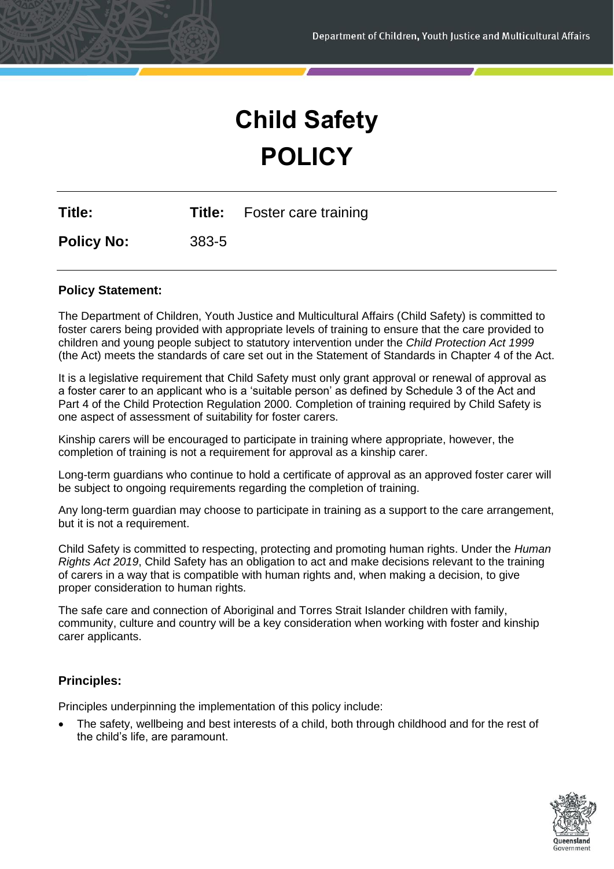# **Child Safety POLICY**

**Title: Title:** Foster care training

**Policy No:** 383-5

# **Policy Statement:**

The Department of Children, Youth Justice and Multicultural Affairs (Child Safety) is committed to foster carers being provided with appropriate levels of training to ensure that the care provided to children and young people subject to statutory intervention under the *Child Protection Act 1999*  (the Act) meets the standards of care set out in the Statement of Standards in Chapter 4 of the Act.

It is a legislative requirement that Child Safety must only grant approval or renewal of approval as a foster carer to an applicant who is a 'suitable person' as defined by Schedule 3 of the Act and Part 4 of the Child Protection Regulation 2000. Completion of training required by Child Safety is one aspect of assessment of suitability for foster carers.

Kinship carers will be encouraged to participate in training where appropriate, however, the completion of training is not a requirement for approval as a kinship carer.

Long-term guardians who continue to hold a certificate of approval as an approved foster carer will be subject to ongoing requirements regarding the completion of training.

Any long-term guardian may choose to participate in training as a support to the care arrangement, but it is not a requirement.

Child Safety is committed to respecting, protecting and promoting human rights. Under the *Human Rights Act 2019*, Child Safety has an obligation to act and make decisions relevant to the training of carers in a way that is compatible with human rights and, when making a decision, to give proper consideration to human rights.

The safe care and connection of Aboriginal and Torres Strait Islander children with family, community, culture and country will be a key consideration when working with foster and kinship carer applicants.

### **Principles:**

Principles underpinning the implementation of this policy include:

• The safety, wellbeing and best interests of a child, both through childhood and for the rest of the child's life, are paramount.

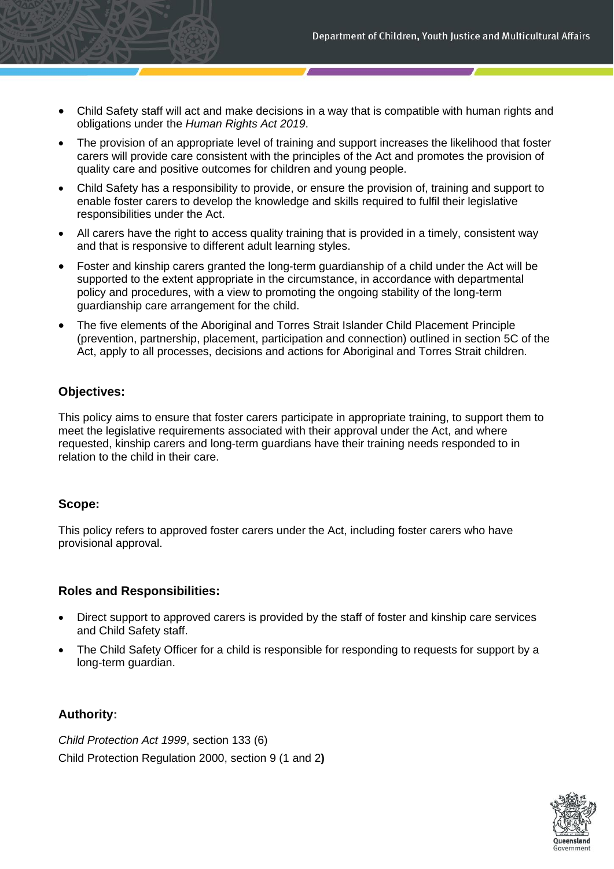- Child Safety staff will act and make decisions in a way that is compatible with human rights and obligations under the *Human Rights Act 2019*.
- The provision of an appropriate level of training and support increases the likelihood that foster carers will provide care consistent with the principles of the Act and promotes the provision of quality care and positive outcomes for children and young people.
- Child Safety has a responsibility to provide, or ensure the provision of, training and support to enable foster carers to develop the knowledge and skills required to fulfil their legislative responsibilities under the Act.
- All carers have the right to access quality training that is provided in a timely, consistent way and that is responsive to different adult learning styles.
- Foster and kinship carers granted the long-term guardianship of a child under the Act will be supported to the extent appropriate in the circumstance, in accordance with departmental policy and procedures, with a view to promoting the ongoing stability of the long-term guardianship care arrangement for the child.
- The five elements of the Aboriginal and Torres Strait Islander Child Placement Principle (prevention, partnership, placement, participation and connection) outlined in section 5C of the Act, apply to all processes, decisions and actions for Aboriginal and Torres Strait children.

### **Objectives:**

This policy aims to ensure that foster carers participate in appropriate training, to support them to meet the legislative requirements associated with their approval under the Act, and where requested, kinship carers and long-term guardians have their training needs responded to in relation to the child in their care.

### **Scope:**

This policy refers to approved foster carers under the Act, including foster carers who have provisional approval.

# **Roles and Responsibilities:**

- Direct support to approved carers is provided by the staff of foster and kinship care services and Child Safety staff.
- The Child Safety Officer for a child is responsible for responding to requests for support by a long-term guardian.

# **Authority:**

*Child Protection Act 1999*, section 133 (6) Child Protection Regulation 2000, section 9 (1 and 2**)**

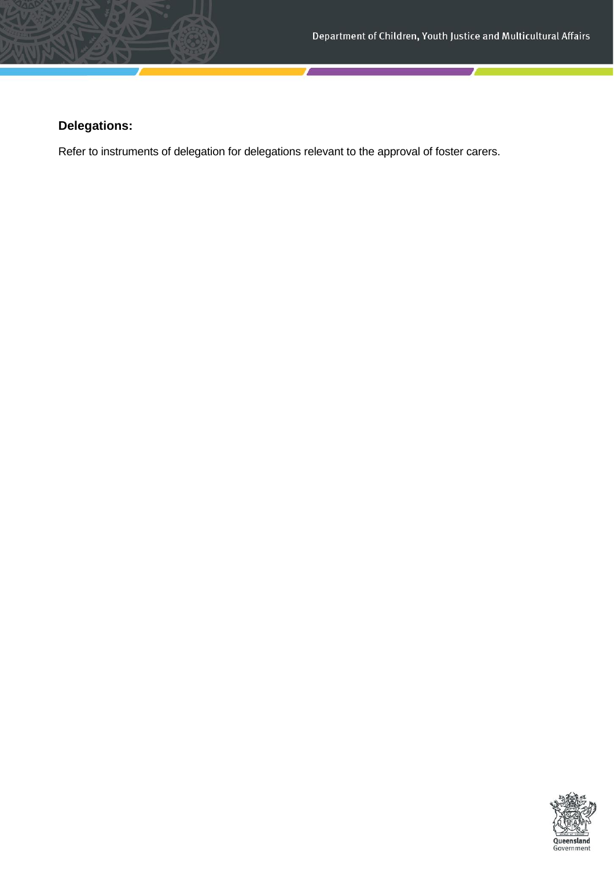# **Delegations:**

Refer to instruments of delegation for delegations relevant to the approval of foster carers.